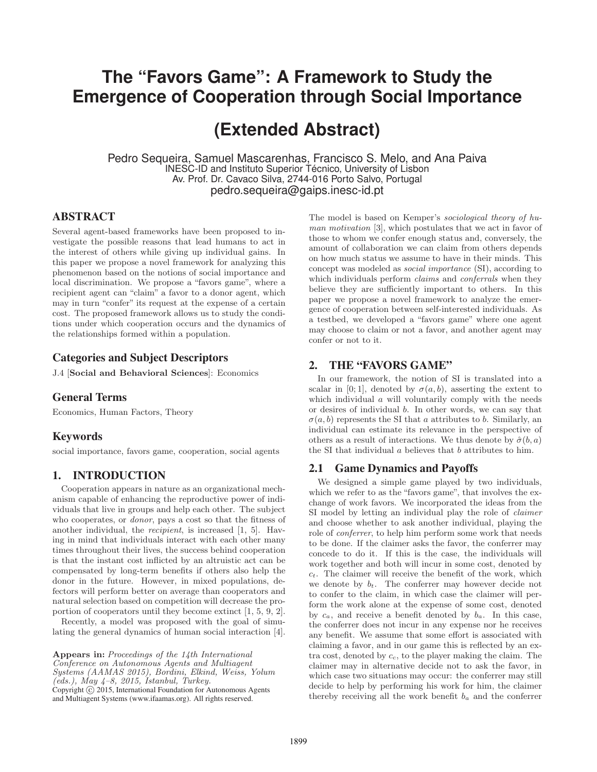# **The "Favors Game": A Framework to Study the Emergence of Cooperation through Social Importance**

# **(Extended Abstract)**

Pedro Sequeira, Samuel Mascarenhas, Francisco S. Melo, and Ana Paiva INESC-ID and Instituto Superior Técnico, University of Lisbon Av. Prof. Dr. Cavaco Silva, 2744-016 Porto Salvo, Portugal pedro.sequeira@gaips.inesc-id.pt

## ABSTRACT

Several agent-based frameworks have been proposed to investigate the possible reasons that lead humans to act in the interest of others while giving up individual gains. In this paper we propose a novel framework for analyzing this phenomenon based on the notions of social importance and local discrimination. We propose a "favors game", where a recipient agent can "claim" a favor to a donor agent, which may in turn "confer" its request at the expense of a certain cost. The proposed framework allows us to study the conditions under which cooperation occurs and the dynamics of the relationships formed within a population.

## Categories and Subject Descriptors

J.4 [**Social and Behavioral Sciences**]: Economics

## General Terms

Economics, Human Factors, Theory

## Keywords

social importance, favors game, cooperation, social agents

## 1. INTRODUCTION

Cooperation appears in nature as an organizational mechanism capable of enhancing the reproductive power of individuals that live in groups and help each other. The subject who cooperates, or donor, pays a cost so that the fitness of another individual, the recipient, is increased [1, 5]. Having in mind that individuals interact with each other many times throughout their lives, the success behind cooperation is that the instant cost inflicted by an altruistic act can be compensated by long-term benefits if others also help the donor in the future. However, in mixed populations, defectors will perform better on average than cooperators and natural selection based on competition will decrease the proportion of cooperators until they become extinct [1, 5, 9, 2].

Recently, a model was proposed with the goal of simulating the general dynamics of human social interaction [4].

**Appears in:** Proceedings of the 14th International Conference on Autonomous Agents and Multiagent Systems (AAMAS 2015), Bordini, Elkind, Weiss, Yolum  $(eds.), May 4-8, 2015, Istanbul, Turkey.$ Copyright  $\odot$  2015, International Foundation for Autonomous Agents and Multiagent Systems (www.ifaamas.org). All rights reserved.

The model is based on Kemper's sociological theory of human motivation [3], which postulates that we act in favor of those to whom we confer enough status and, conversely, the amount of collaboration we can claim from others depends on how much status we assume to have in their minds. This concept was modeled as social importance (SI), according to which individuals perform *claims* and *conferrals* when they believe they are sufficiently important to others. In this paper we propose a novel framework to analyze the emergence of cooperation between self-interested individuals. As a testbed, we developed a "favors game" where one agent may choose to claim or not a favor, and another agent may confer or not to it.

## 2. THE "FAVORS GAME"

In our framework, the notion of SI is translated into a scalar in [0; 1], denoted by  $\sigma(a, b)$ , asserting the extent to which individual a will voluntarily comply with the needs or desires of individual b. In other words, we can say that  $\sigma(a, b)$  represents the SI that a attributes to b. Similarly, an individual can estimate its relevance in the perspective of others as a result of interactions. We thus denote by  $\hat{\sigma}(b, a)$ the SI that individual  $a$  believes that  $b$  attributes to him.

## 2.1 Game Dynamics and Payoffs

We designed a simple game played by two individuals, which we refer to as the "favors game", that involves the exchange of work favors. We incorporated the ideas from the SI model by letting an individual play the role of claimer and choose whether to ask another individual, playing the role of conferrer, to help him perform some work that needs to be done. If the claimer asks the favor, the conferrer may concede to do it. If this is the case, the individuals will work together and both will incur in some cost, denoted by  $c_t$ . The claimer will receive the benefit of the work, which we denote by  $b_t$ . The conferrer may however decide not to confer to the claim, in which case the claimer will perform the work alone at the expense of some cost, denoted by  $c_a$ , and receive a benefit denoted by  $b_a$ . In this case, the conferrer does not incur in any expense nor he receives any benefit. We assume that some effort is associated with claiming a favor, and in our game this is reflected by an extra cost, denoted by  $c_c$ , to the player making the claim. The claimer may in alternative decide not to ask the favor, in which case two situations may occur: the conferrer may still decide to help by performing his work for him, the claimer thereby receiving all the work benefit  $b_a$  and the conferrer